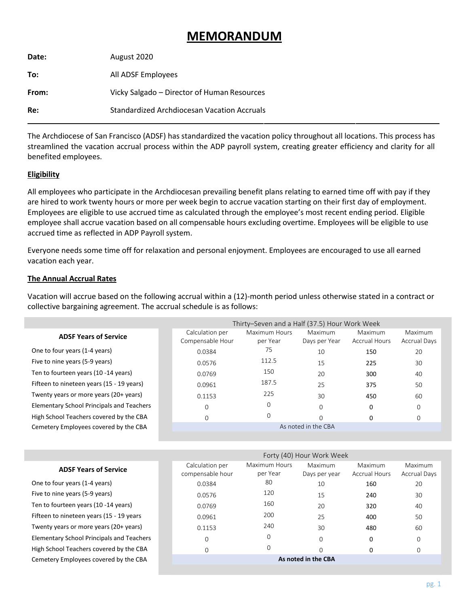# **MEMORANDUM**

| Date:      | August 2020                                 |
|------------|---------------------------------------------|
| To:        | All ADSF Employees                          |
| From:      | Vicky Salgado - Director of Human Resources |
| <b>Re:</b> | Standardized Archdiocesan Vacation Accruals |

The Archdiocese of San Francisco (ADSF) has standardized the vacation policy throughout all locations. This process has streamlined the vacation accrual process within the ADP payroll system, creating greater efficiency and clarity for all benefited employees.

# **Eligibility**

All employees who participate in the Archdiocesan prevailing benefit plans relating to earned time off with pay if they are hired to work twenty hours or more per week begin to accrue vacation starting on their first day of employment. Employees are eligible to use accrued time as calculated through the employee's most recent ending period. Eligible employee shall accrue vacation based on all compensable hours excluding overtime. Employees will be eligible to use accrued time as reflected in ADP Payroll system.

Everyone needs some time off for relaxation and personal enjoyment. Employees are encouraged to use all earned vacation each year.

## **The Annual Accrual Rates**

Vacation will accrue based on the following accrual within a (12)-month period unless otherwise stated in a contract or collective bargaining agreement. The accrual schedule is as follows:

|                                                  | Thirty-Seven and a Half (37.5) Hour Work Week |                           |                          |                                 |                                |  |  |
|--------------------------------------------------|-----------------------------------------------|---------------------------|--------------------------|---------------------------------|--------------------------------|--|--|
| <b>ADSF Years of Service</b>                     | Calculation per<br>Compensable Hour           | Maximum Hours<br>per Year | Maximum<br>Days per Year | Maximum<br><b>Accrual Hours</b> | Maximum<br><b>Accrual Days</b> |  |  |
| One to four years (1-4 years)                    | 0.0384                                        | 75                        | 10                       | 150                             | 20                             |  |  |
| Five to nine years (5-9 years)                   | 0.0576                                        | 112.5                     | 15                       | 225                             | 30                             |  |  |
| Ten to fourteen years (10 -14 years)             | 0.0769                                        | 150                       | 20                       | 300                             | 40                             |  |  |
| Fifteen to nineteen years (15 - 19 years)        | 0.0961                                        | 187.5                     | 25                       | 375                             | 50                             |  |  |
| Twenty years or more years (20+ years)           | 0.1153                                        | 225                       | 30                       | 450                             | 60                             |  |  |
| <b>Elementary School Principals and Teachers</b> | 0                                             | 0                         | $\Omega$                 | 0                               | $\mathbf 0$                    |  |  |
| High School Teachers covered by the CBA          | 0                                             | 0                         | $\Omega$                 | O                               | 0                              |  |  |
| Cemetery Employees covered by the CBA            |                                               | As noted in the CBA       |                          |                                 |                                |  |  |

|                                                  | Forty (40) Hour Work Week           |                           |                          |                                 |                                |  |
|--------------------------------------------------|-------------------------------------|---------------------------|--------------------------|---------------------------------|--------------------------------|--|
| <b>ADSF Years of Service</b>                     | Calculation per<br>compensable hour | Maximum Hours<br>per Year | Maximum<br>Days per year | Maximum<br><b>Accrual Hours</b> | Maximum<br><b>Accrual Days</b> |  |
| One to four years (1-4 years)                    | 0.0384                              | 80                        | 10                       | 160                             | 20                             |  |
| Five to nine years (5-9 years)                   | 0.0576                              | 120                       | 15                       | 240                             | 30                             |  |
| Ten to fourteen years (10 -14 years)             | 0.0769                              | 160                       | 20                       | 320                             | 40                             |  |
| Fifteen to nineteen years (15 - 19 years         | 0.0961                              | 200                       | 25                       | 400                             | 50                             |  |
| Twenty years or more years (20+ years)           | 0.1153                              | 240                       | 30                       | 480                             | 60                             |  |
| <b>Elementary School Principals and Teachers</b> | 0                                   | $\Omega$                  | $\Omega$                 | $\Omega$                        | 0                              |  |
| High School Teachers covered by the CBA          | 0                                   | 0                         | $\Omega$                 | $\Omega$                        | 0                              |  |
| Cemetery Employees covered by the CBA            | As noted in the CBA                 |                           |                          |                                 |                                |  |